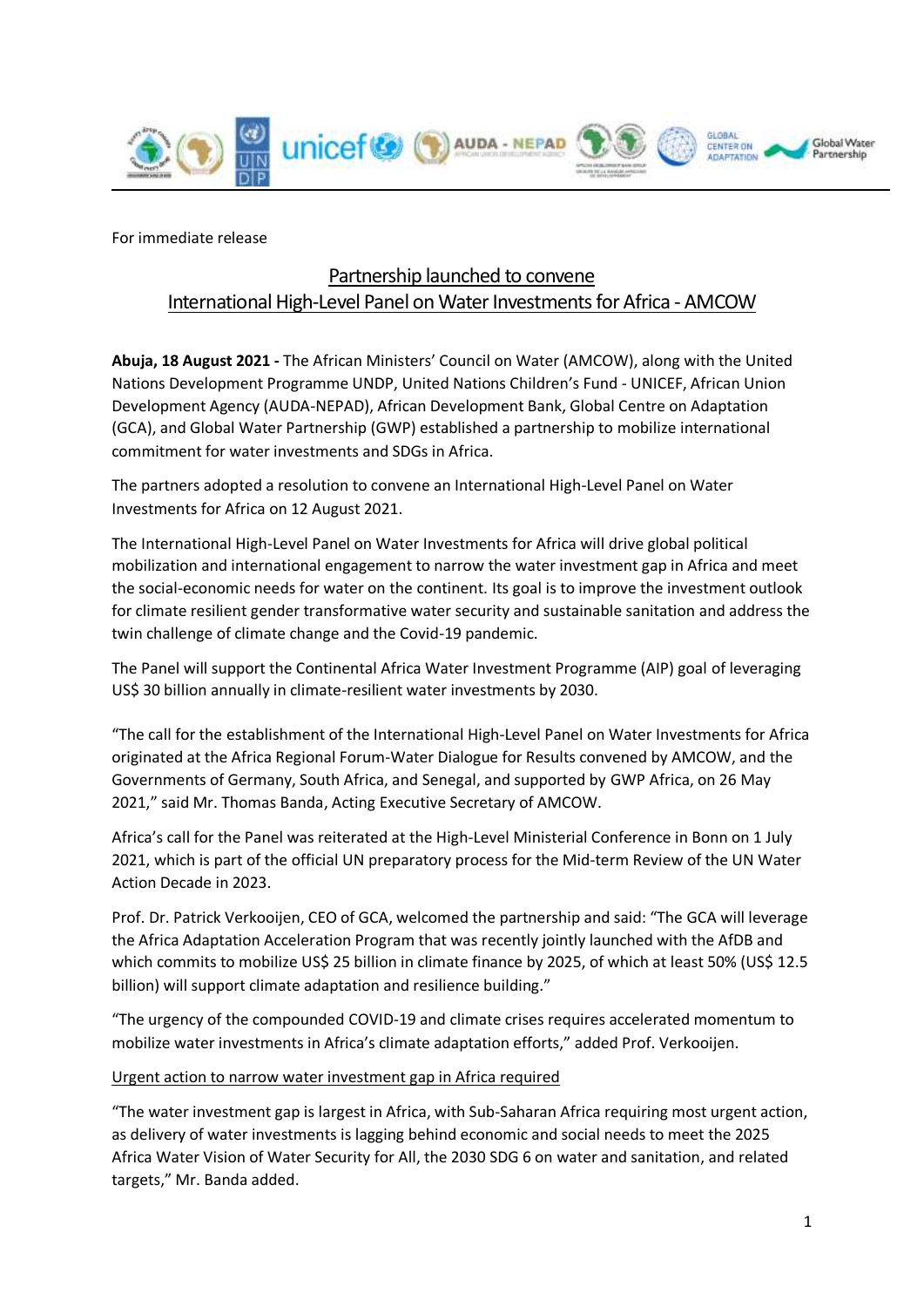

For immediate release

# Partnership launched to convene International High-Level Panel on Water Investments for Africa - AMCOW

**Abuja, 18 August 2021 -** The African Ministers' Council on Water (AMCOW), along with the United Nations Development Programme UNDP, United Nations Children's Fund - UNICEF, African Union Development Agency (AUDA-NEPAD), African Development Bank, Global Centre on Adaptation (GCA), and Global Water Partnership (GWP) established a partnership to mobilize international commitment for water investments and SDGs in Africa.

The partners adopted a resolution to convene an International High-Level Panel on Water Investments for Africa on 12 August 2021.

The International High-Level Panel on Water Investments for Africa will drive global political mobilization and international engagement to narrow the water investment gap in Africa and meet the social-economic needs for water on the continent. Its goal is to improve the investment outlook for climate resilient gender transformative water security and sustainable sanitation and address the twin challenge of climate change and the Covid-19 pandemic.

The Panel will support the Continental Africa Water Investment Programme (AIP) goal of leveraging US\$ 30 billion annually in climate-resilient water investments by 2030.

"The call for the establishment of the International High-Level Panel on Water Investments for Africa originated at the Africa Regional Forum-Water Dialogue for Results convened by AMCOW, and the Governments of Germany, South Africa, and Senegal, and supported by GWP Africa, on 26 May 2021," said Mr. Thomas Banda, Acting Executive Secretary of AMCOW.

Africa's call for the Panel was reiterated at the High-Level Ministerial Conference in Bonn on 1 July 2021, which is part of the official UN preparatory process for the Mid-term Review of the UN Water Action Decade in 2023.

Prof. Dr. Patrick Verkooijen, CEO of GCA, welcomed the partnership and said: "The GCA will leverage the Africa Adaptation Acceleration Program that was recently jointly launched with the AfDB and which commits to mobilize US\$ 25 billion in climate finance by 2025, of which at least 50% (US\$ 12.5 billion) will support climate adaptation and resilience building."

"The urgency of the compounded COVID-19 and climate crises requires accelerated momentum to mobilize water investments in Africa's climate adaptation efforts," added Prof. Verkooijen.

#### Urgent action to narrow water investment gap in Africa required

"The water investment gap is largest in Africa, with Sub-Saharan Africa requiring most urgent action, as delivery of water investments is lagging behind economic and social needs to meet the 2025 Africa Water Vision of Water Security for All, the 2030 SDG 6 on water and sanitation, and related targets," Mr. Banda added.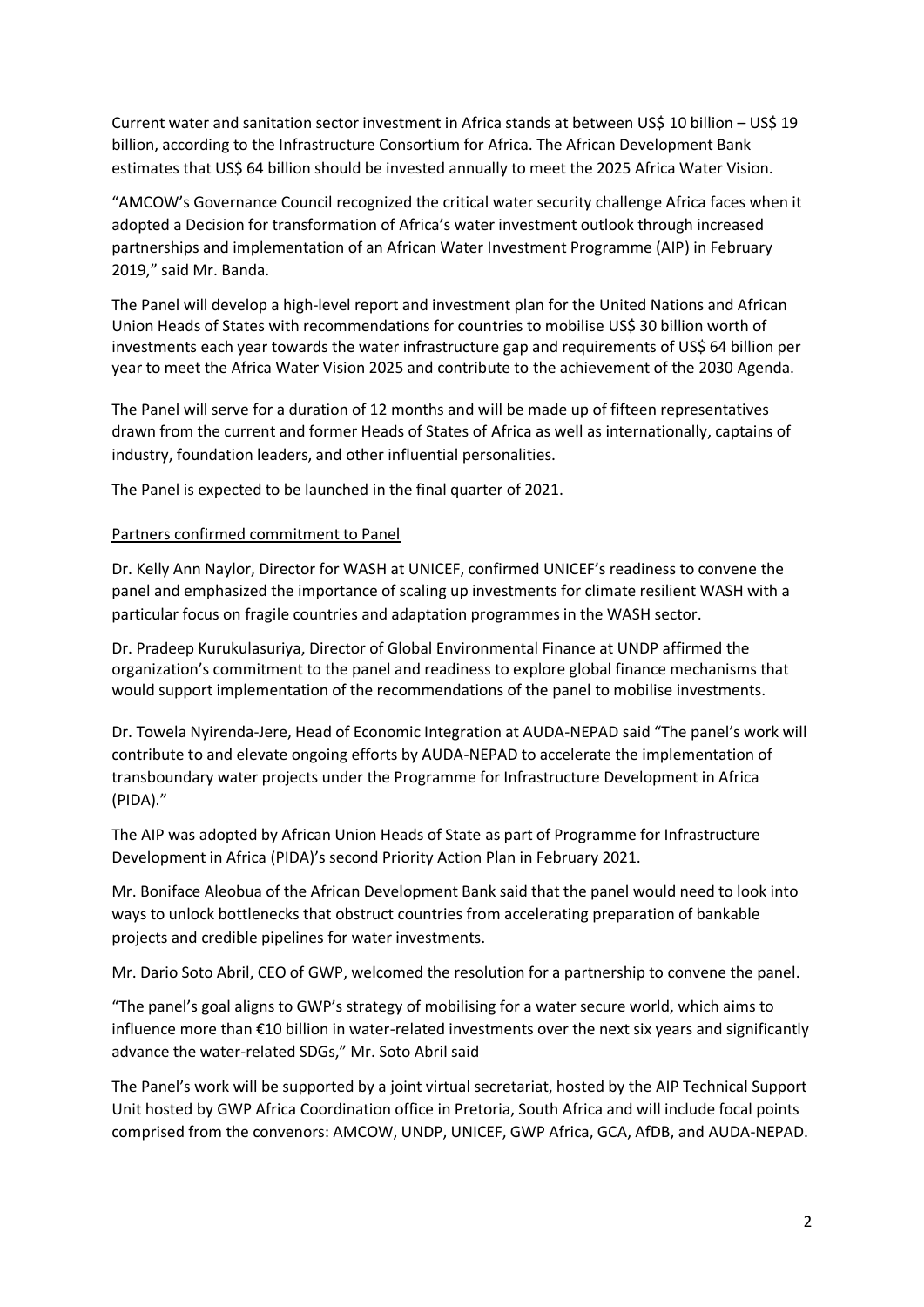Current water and sanitation sector investment in Africa stands at between US\$ 10 billion – US\$ 19 billion, according to the Infrastructure Consortium for Africa. The African Development Bank estimates that US\$ 64 billion should be invested annually to meet the 2025 Africa Water Vision.

"AMCOW's Governance Council recognized the critical water security challenge Africa faces when it adopted a Decision for transformation of Africa's water investment outlook through increased partnerships and implementation of an African Water Investment Programme (AIP) in February 2019," said Mr. Banda.

The Panel will develop a high-level report and investment plan for the United Nations and African Union Heads of States with recommendations for countries to mobilise US\$ 30 billion worth of investments each year towards the water infrastructure gap and requirements of US\$ 64 billion per year to meet the Africa Water Vision 2025 and contribute to the achievement of the 2030 Agenda.

The Panel will serve for a duration of 12 months and will be made up of fifteen representatives drawn from the current and former Heads of States of Africa as well as internationally, captains of industry, foundation leaders, and other influential personalities.

The Panel is expected to be launched in the final quarter of 2021.

### Partners confirmed commitment to Panel

Dr. Kelly Ann Naylor, Director for WASH at UNICEF, confirmed UNICEF's readiness to convene the panel and emphasized the importance of scaling up investments for climate resilient WASH with a particular focus on fragile countries and adaptation programmes in the WASH sector.

Dr. Pradeep Kurukulasuriya, Director of Global Environmental Finance at UNDP affirmed the organization's commitment to the panel and readiness to explore global finance mechanisms that would support implementation of the recommendations of the panel to mobilise investments.

Dr. Towela Nyirenda-Jere, Head of Economic Integration at AUDA-NEPAD said "The panel's work will contribute to and elevate ongoing efforts by AUDA-NEPAD to accelerate the implementation of transboundary water projects under the Programme for Infrastructure Development in Africa (PIDA)."

The AIP was adopted by African Union Heads of State as part of Programme for Infrastructure Development in Africa (PIDA)'s second Priority Action Plan in February 2021.

Mr. [Boniface Aleobua](https://mz.linkedin.com/in/boniface-aleobua-3202b535) of the African Development Bank said that the panel would need to look into ways to unlock bottlenecks that obstruct countries from accelerating preparation of bankable projects and credible pipelines for water investments.

Mr. Dario Soto Abril, CEO of GWP, welcomed the resolution for a partnership to convene the panel.

"The panel's goal aligns to GWP's strategy of mobilising for a water secure world, which aims to influence more than €10 billion in water-related investments over the next six years and significantly advance the water-related SDGs," Mr. Soto Abril said

The Panel's work will be supported by a joint virtual secretariat, hosted by the AIP Technical Support Unit hosted by GWP Africa Coordination office in Pretoria, South Africa and will include focal points comprised from the convenors: AMCOW, UNDP, UNICEF, GWP Africa, GCA, AfDB, and AUDA-NEPAD.